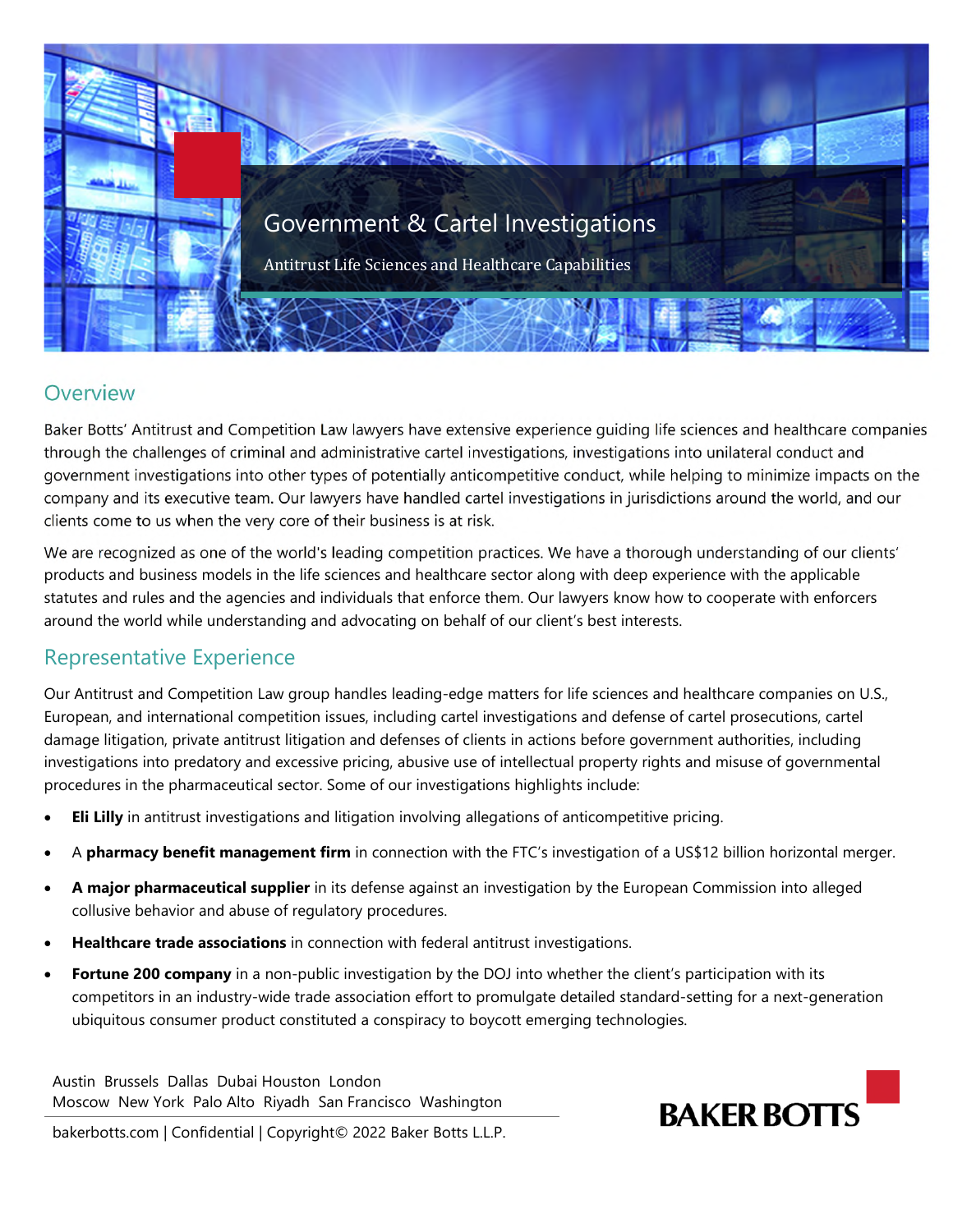

## Overview

Baker Botts' Antitrust and Competition Law lawyers have extensive experience guiding life sciences and healthcare companies through the challenges of criminal and administrative cartel investigations, investigations into unilateral conduct and government investigations into other types of potentially anticompetitive conduct, while helping to minimize impacts on the company and its executive team. Our lawyers have handled cartel investigations in jurisdictions around the world, and our clients come to us when the very core of their business is at risk.

We are recognized as one of the world's leading competition practices. We have a thorough understanding of our clients' products and business models in the life sciences and healthcare sector along with deep experience with the applicable statutes and rules and the agencies and individuals that enforce them. Our lawyers know how to cooperate with enforcers around the world while understanding and advocating on behalf of our client's best interests.

## Representative Experience

Our Antitrust and Competition Law group handles leading-edge matters for life sciences and healthcare companies on U.S., European, and international competition issues, including cartel investigations and defense of cartel prosecutions, cartel damage litigation, private antitrust litigation and defenses of clients in actions before government authorities, including investigations into predatory and excessive pricing, abusive use of intellectual property rights and misuse of governmental procedures in the pharmaceutical sector. Some of our investigations highlights include:

- **Eli Lilly** in antitrust investigations and litigation involving allegations of anticompetitive pricing.
- A **pharmacy benefit management firm** in connection with the FTC's investigation of a US\$12 billion horizontal merger.
- **A major pharmaceutical supplier** in its defense against an investigation by the European Commission into alleged collusive behavior and abuse of regulatory procedures.
- **Healthcare trade associations** in connection with federal antitrust investigations.
- Fortune 200 company in a non-public investigation by the DOJ into whether the client's participation with its competitors in an industry-wide trade association effort to promulgate detailed standard-setting for a next-generation ubiquitous consumer product constituted a conspiracy to boycott emerging technologies.

Austin Brussels Dallas Dubai Houston London Moscow New York Palo Alto Riyadh San Francisco Washington



bakerbotts.com | Confidential | Copyright© 2022 Baker Botts L.L.P.